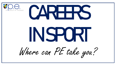

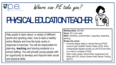

Where can PE take you?

### PHYSICAL EDUCATION TEACHER

Help pupils to learn about: a variety of different sports and sporting roles; how to lead a healthy active lifestyle and how the body works in response to exercise. You will be responsible for planning, **teaching** and tutoring students in a school setting. You will provide young people with an opportunity to develop and improve their social and physical skills.

**Starting salary:** £24,000

**Hours:** 35 (+) per week

**Skills:** mentoring, communication, supporting, respecting, planning.

- University degree ideally in relevant field and PGCE course to gain Qualified Teacher Status (QTS). Some undergraduate degrees provide you with QTS and there is no need to complete a PGCE.
- Other routes include: School Direct, Assessment only Route with QTS, School Centres Initial Teacher Training (SCITT)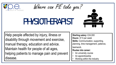

Where can PE take you?

### PHSIOTHERAPIST

Help people affected by injury, illness or disability through movement and exercise, manual therapy, education and advice. Maintain health for people of all ages, helping patients to manage pain and prevent disease.

**Starting salary:** £24,000 **Hours:** 37.5 per week **Skills:** Communication, supporting, planning, time management, patience, teamwork.

- An university course
- An apprenticeship
- Working within the industry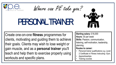

PERSONAL TRAINER

Create one-on-one **fitness** programmes for clients, motivating and guiding them to achieve their goals. Clients may wish to lose weight or gain muscle, and as a **personal trainer** you'll teach and help them to exercise properly using workouts and specific plans.

**Starting salary:** £16,000 **Hours:** 30 per week **Skills: Passion, communication,** listening, self-motivation, leadership, planning.

- Personal trainer qualifications e.g. Level 2 Certificate in Fitness Instructing -Gym.
- Apprenticeships
- Training courses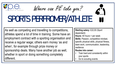

# SPORTS PERFROMER/ATHLETE

Where can PE take you?

As well as competing and travelling to competitions, athletes spend a lot of time in training. Some have an employment contract with a sporting organisation and receive a regular wage; others earn money 'as and when', for example through prize money or sponsorship deals. Many have another job as well, whether in sport or doing something completely different.

**Starting salary:** £22,00 (Sport dependant)

**Hours:** 40 hours + per week **Skills: Passion, competitive mindset,** specific physical skills, physical fitness, team work, communication, leadership, resilience.

- Train hard and consistently within your sports
- Go to scouting events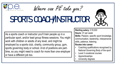

# SPORTS COACH/INSTRUCTOR

As a sports coach or instructor you'll train people up in a particular sport, and/or lead group fitness sessions. You might work with children or adults of any level, and might be employed by a sports club, charity, community group, gym, sports governing body or school. A lot of positions are parttime, so you might need to coach for more than one employer or have a different job too.

**Starting salary:** £18,000 **Hours:** 37 per week **Skills:** Passion, specific sport knowledge, communication, leadership, interpersonal skills, patience, listening. **Routes into career:**

- Coaching qualifications recognised by National Governing Body of the sport
- Level 3 vocational courses
- Apprenticeships
- University degrees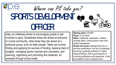

#### Where can PE take you? SPORTS DEVELOPMENT OFFICER

Help run initiatives aimed at encouraging people to get involved in sport. Sometimes these are aimed at everyone in a local community; other times they are aimed at a particular group, such as older people. Tasks can involve finding and applying for sources of funding, keeping track of budgets, managing sports coaches and volunteers, and planning, organising and promoting the initiatives, for example through social media.

**Starting salary:** £18,000 **Hours:** 37 per week **Skills:** Leadership, organisation, initiative, motivate others, communication, team work, project-management. **Routes into career:** Although there are no set entry qualifications, the role is increasingly becoming a graduate profession or Higher

National Diploma. With a good selection of coaching qualifications and experience, it may be possible to enter at assistant level.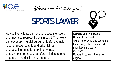

Where can PE take you?

### SPORTS LAWYER

Advise their clients on the legal aspects of sport, and may also represent them in court. Their work can cover commercial agreements (for example regarding sponsorship and advertising), broadcasting rights for sporting events, employment contracts, transfers, injuries, sports regulation and disciplinary matters.

**Starting salary:** £25,000 **Hours:** 40 per week **Skills:** knowledge and passion for the industry, attention to detail, negotiation, persuasion, resilience. **Routes in career:** Sports law degree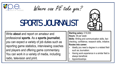

### SPORTS JOURNALIST

Write **about** and report on amateur and professional **sports**. As a **sports journalist**, you can expect a variety of job duties such as reporting game statistics, interviewing coaches and players and offering game commentary. You can work in a variety of media, including radio, television and print.

**Starting salary:** £19,000 **Hours:** 39 per week

**Skills:** Writing and communication skills, fact checking, confidence, research skills, initiative. **Routes into career:** 

- Ideally you need a degree in a related field such as Journalism.
- Having work experience in a similar field is always beneficial.
- Apprenticeships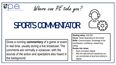

Where can PE take you?

### SPORTS COMMENTATOR

Gives a running **commentary** of a game or event in real time, usually during a live broadcast. The comments are normally a voiceover, with the sounds of the action and spectators also heard in the background.

**Starting salary:** £22,000

**Hours:** Varied depending on the events **Skills:** Communication, knowledge of the sport/players, confidence, researching, writing.

- Sport Journalism degree
- With the right skill and experience you can commentate at local level without a degree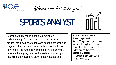

## SPORTS ANALYST

Assess performance in a sport to develop an understanding of actions that can inform decisionmaking, optimise performance and support coaches and players in their journey towards optimal results. In many team sports this would consist on tactical assessment, movement analysis, video and statistical databasing and modelling and coach and player data presentations.

**Starting salary:** £20,000 **Hours:** 38 per week **Skills:** IT, organisation, calm under pressure, team player, enthusiastic, knowledgeable, mathematical understanding, focussed. **Routes into career:** 

Degree in Sport and Exercise Science ideally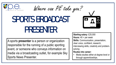

SPORTS BROADCAST PRESENTER

A sports **presenter** is a person or organization responsible for the running of a public sporting event, or someone who conveys information on media via a broadcasting outlet, for example Sky Sports News Presenter.



#### • Media studies either at degree level or through apprenticeships.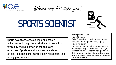

### SPORTS SCIENTIST

**Sports science** focuses on improving athletic performances through the applications of psychology, physiology and biomechanics principles and techniques. **Sports scientists** observe and monitor athletes to design performance-improving exercise and training programmes.

**Starting salary:** £18,000

**Hours:** 38 per week

**Skills:** Communication, initiative, analysis, scientific skills, leadership, interpersonal skills, empathy. **Routes into career:**

You'll need a degree in sport science, or a degree in a related subject like physical education, physiology or psychology, followed by a postgraduate qualification. It's becoming common for sports scientists to already have or be working towards postgraduate qualifications like MRes, MSc or PhD.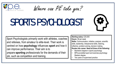

Where can PE take you?

## SPORTS PSYCHOLOGIST



Sport Psychologists primarily work with athletes, coaches and referees, from amateur to elite-level. Their work is centred on how **psychology** influences **sport** and how it can improve performance. Their aim is to prepare **sporting** professionals for the demands of their job, such as competition and training.

**Starting salary:** £20,000

**Hours:** 38 per week

**Skills:** Communication, initiative, analysis, scientific skills, leadership, interpersonal skills, listening, reflective, problem-solving, decision making. **Routes into career: Need all three of the following:**

- Bachelors degree in (sport) psychology
- BPS-accredited sport and exercise psychology Masters degree.
- Two years of supervised practice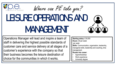

## LESURE OPERATIONS AND MANAGEMENT

Operations Manager will lead and inspire a team of staff in delivering the highest possible standards of customer care and service delivery at all stages of a customer's experience with the company so that their business becomes the leisure destination of choice for the communities in which it works.

**Starting salary:** £18,000 **Hours:** 39 per week per week **Skills:** Communication, organisation, leadership, managerial skills, leadership and coaching, time management.

- Apprenticeships
- Work experience
- University degree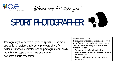

Where can PE take you?

## SPORT PHOTOGRAPHER

**Photography** that covers all types of **sports**. ... The main application of professional **sports photography** is for editorial purposes; dedicated **sports photographers** usually work for newspapers, major wire agencies or dedicated **sports** magazines

**Starting salary:** £22,000

**Hours:** 38 (but varies depending on events) per week **Skills:** Creativity, photography, patience, concentration, attention to detail, networking, teamwork, passion. **Routes into career:**

- You don't need any formal qualifications
- But you can study college and university courses to develop your skills
- Level 3 vocational course in art and design or photography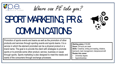

# SPORT MARKETING, PR & **COMMUNICATIONS**



Promotion of sports events and teams as well as the promotion of other products and services through sporting events and sports teams. It is a service in which the element promoted can be a physical product or a brand name. The goal is to provide the client with strategies to promote sports or to promote some other product, service, business or cause through sports. Sports marketing is also designed to meet the needs and wants of the consumers through exchange processes.

**Starting salary:** £19,000 **Hours:** 39 hours per week **Skills:** Creativity, writing and reading, initiative, teamwork, task management, interpersonal skill **Routes into career:**

- University degree
- Apprenticeships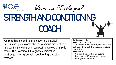### Where can PE take you? STRENGTH AND CONDITIONING **COACH**

A **strength and conditioning coach** is a physical performance professional who uses exercise prescription to improve the performance of competitive athletes or athletic teams. This is achieved through the combination of **strength** training, aerobic **conditioning**, and other methods

**Starting salary:** £18,000 **Hours:** 38 hours per week

**Skills:** Confidence, communication, interpersonal skills, leadership, listening skills, knowledgeable, attention to detail, initiative.

- University degrees such as Sport Science
- Level 2 and Level 3 personal trainer courses
- Gaining relevant experience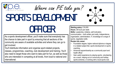

# SPORTS DEVELOPMENT

Where can PE take you?



As a sports development officer, you'll make sure that everybody has the chance to take part in sport by ensuring that all sections of the community are aware of available activities and where they can go to get involved.

You'll distribute information and organise sport-related projects, classes, programmes, coaching, club development and training. You'll also need to target those who want to take part for fun, as well as those who are interested in competing at all levels, from local to national and international.

**Starting salary:** £18,000 **Hours:** 38 hours per week **Skills:** Leadership, initiative, self-motivation, communication – both written and orally, independence, organisation, administration, IT, knowledge of a range of sports, negotiation skills

- Foundation degree, higher national diploma or degree in a related subject like: sports development or sports coaching.
- Advanced apprenticeship as a community sport and health officer
- Gain useful experience by playing sports, volunteering as a coach, helping out on community and holiday sports schemes, or working with a local sports club.